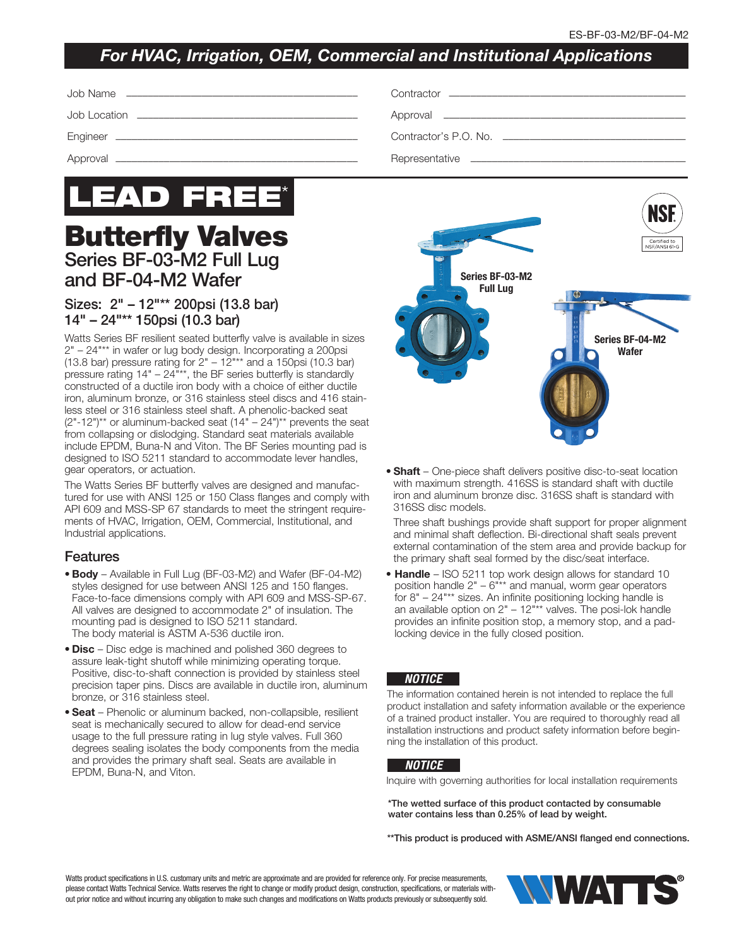## *For HVAC, Irrigation, OEM, Commercial and Institutional Applications*



# Butterfly Valves Series BF-03-M2 Full Lug and BF-04-M2 Wafer

### Sizes: 2" – 12"\*\* 200psi (13.8 bar) 14" – 24"\*\* 150psi (10.3 bar)

Watts Series BF resilient seated butterfly valve is available in sizes 2" – 24"\*\* in wafer or lug body design. Incorporating a 200psi (13.8 bar) pressure rating for  $2" - 12"$ \*\* and a 150psi (10.3 bar) pressure rating 14" – 24"\*\*, the BF series butterfly is standardly constructed of a ductile iron body with a choice of either ductile iron, aluminum bronze, or 316 stainless steel discs and 416 stainless steel or 316 stainless steel shaft. A phenolic-backed seat  $(2"$ -12")<sup>\*\*</sup> or aluminum-backed seat  $(14" - 24")$ <sup>\*\*</sup> prevents the seat from collapsing or dislodging. Standard seat materials available include EPDM, Buna-N and Viton. The BF Series mounting pad is designed to ISO 5211 standard to accommodate lever handles, gear operators, or actuation.

The Watts Series BF butterfly valves are designed and manufactured for use with ANSI 125 or 150 Class flanges and comply with API 609 and MSS-SP 67 standards to meet the stringent requirements of HVAC, Irrigation, OEM, Commercial, Institutional, and Industrial applications.

#### Features

- Body Available in Full Lug (BF-03-M2) and Wafer (BF-04-M2) styles designed for use between ANSI 125 and 150 flanges. Face-to-face dimensions comply with API 609 and MSS-SP-67. All valves are designed to accommodate 2" of insulation. The mounting pad is designed to ISO 5211 standard. The body material is ASTM A-536 ductile iron.
- Disc Disc edge is machined and polished 360 degrees to assure leak-tight shutoff while minimizing operating torque. Positive, disc-to-shaft connection is provided by stainless steel precision taper pins. Discs are available in ductile iron, aluminum bronze, or 316 stainless steel.
- Seat Phenolic or aluminum backed, non-collapsible, resilient seat is mechanically secured to allow for dead-end service usage to the full pressure rating in lug style valves. Full 360 degrees sealing isolates the body components from the media and provides the primary shaft seal. Seats are available in EPDM, Buna-N, and Viton.



• Shaft – One-piece shaft delivers positive disc-to-seat location with maximum strength. 416SS is standard shaft with ductile iron and aluminum bronze disc. 316SS shaft is standard with 316SS disc models.

 Three shaft bushings provide shaft support for proper alignment and minimal shaft deflection. Bi-directional shaft seals prevent external contamination of the stem area and provide backup for the primary shaft seal formed by the disc/seat interface.

• Handle – ISO 5211 top work design allows for standard 10 position handle  $2" - 6"$ \*\* and manual, worm gear operators for 8" – 24"\*\* sizes. An infinite positioning locking handle is an available option on  $2" - 12"$ \*\* valves. The posi-lok handle provides an infinite position stop, a memory stop, and a padlocking device in the fully closed position.

#### *NOTICE*

The information contained herein is not intended to replace the full product installation and safety information available or the experience of a trained product installer. You are required to thoroughly read all installation instructions and product safety information before beginning the installation of this product.

#### *NOTICE*

Inquire with governing authorities for local installation requirements

\*The wetted surface of this product contacted by consumable water contains less than 0.25% of lead by weight.

\*\*This product is produced with ASME/ANSI flanged end connections.

Watts product specifications in U.S. customary units and metric are approximate and are provided for reference only. For precise measurements, please contact Watts Technical Service. Watts reserves the right to change or modify product design, construction, specifications, or materials without prior notice and without incurring any obligation to make such changes and modifications on Watts products previously or subsequently sold.